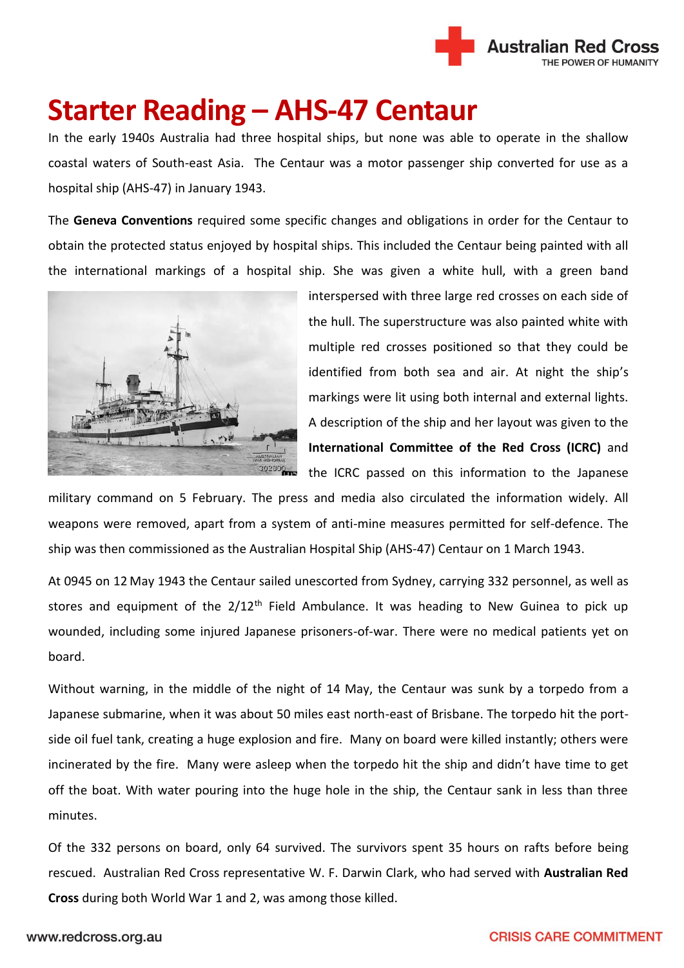

## **Starter Reading – AHS-47 Centaur**

In the early 1940s Australia had three hospital ships, but none was able to operate in the shallow coastal waters of South-east Asia. The Centaur was a motor passenger ship converted for use as a hospital ship (AHS-47) in January 1943.

The **Geneva Conventions** required some specific changes and obligations in order for the Centaur to obtain the protected status enjoyed by hospital ships. This included the Centaur being painted with all the international markings of a hospital ship. She was given a white hull, with a green band



interspersed with three large red crosses on each side of the hull. The superstructure was also painted white with multiple red crosses positioned so that they could be identified from both sea and air. At night the ship's markings were lit using both internal and external lights. A description of the ship and her layout was given to the **International Committee of the Red Cross (ICRC)** and the ICRC passed on this information to the Japanese

military command on 5 February. The press and media also circulated the information widely. All weapons were removed, apart from a system of anti-mine measures permitted for self-defence. The ship was then commissioned as the Australian Hospital Ship (AHS-47) Centaur on 1 March 1943.

At 0945 on 12 May 1943 the Centaur sailed unescorted from Sydney, carrying 332 personnel, as well as stores and equipment of the  $2/12<sup>th</sup>$  Field Ambulance. It was heading to New Guinea to pick up wounded, including some injured Japanese prisoners-of-war. There were no medical patients yet on board.

Without warning, in the middle of the night of 14 May, the Centaur was sunk by a torpedo from a Japanese submarine, when it was about 50 miles east north-east of Brisbane. The torpedo hit the portside oil fuel tank, creating a huge explosion and fire. Many on board were killed instantly; others were incinerated by the fire. Many were asleep when the torpedo hit the ship and didn't have time to get off the boat. With water pouring into the huge hole in the ship, the Centaur sank in less than three minutes.

Of the 332 persons on board, only 64 survived. The survivors spent 35 hours on rafts before being rescued. Australian Red Cross representative W. F. Darwin Clark, who had served with **Australian Red Cross** during both World War 1 and 2, was among those killed.